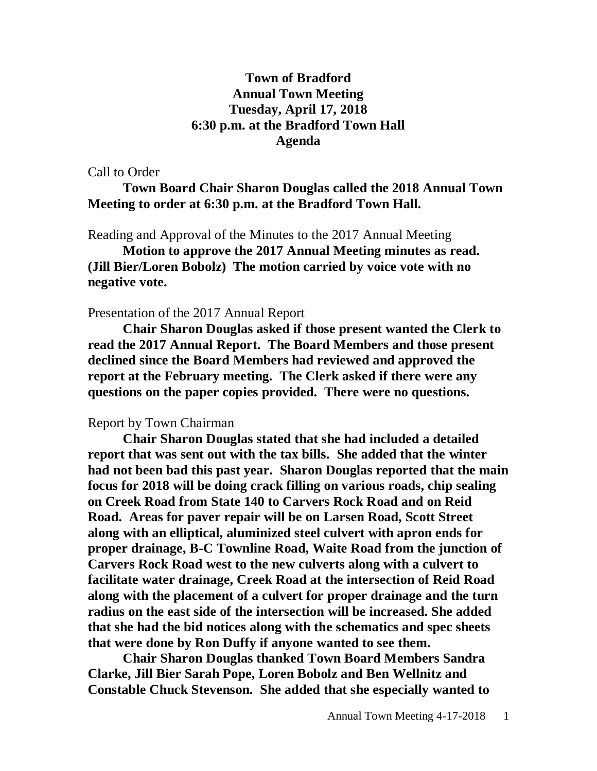## **Town of Bradford Annual Town Meeting Tuesday, April 17, 2018 6:30 p.m. at the Bradford Town Hall Agenda**

Call to Order

**Town Board Chair Sharon Douglas called the 2018 Annual Town Meeting to order at 6:30 p.m. at the Bradford Town Hall.**

Reading and Approval of the Minutes to the 2017 Annual Meeting

**Motion to approve the 2017 Annual Meeting minutes as read. (Jill Bier/Loren Bobolz) The motion carried by voice vote with no negative vote.**

## Presentation of the 2017 Annual Report

**Chair Sharon Douglas asked if those present wanted the Clerk to read the 2017 Annual Report. The Board Members and those present declined since the Board Members had reviewed and approved the report at the February meeting. The Clerk asked if there were any questions on the paper copies provided. There were no questions.**

## Report by Town Chairman

**Chair Sharon Douglas stated that she had included a detailed report that was sent out with the tax bills. She added that the winter had not been bad this past year. Sharon Douglas reported that the main focus for 2018 will be doing crack filling on various roads, chip sealing on Creek Road from State 140 to Carvers Rock Road and on Reid Road. Areas for paver repair will be on Larsen Road, Scott Street along with an elliptical, aluminized steel culvert with apron ends for proper drainage, B-C Townline Road, Waite Road from the junction of Carvers Rock Road west to the new culverts along with a culvert to facilitate water drainage, Creek Road at the intersection of Reid Road along with the placement of a culvert for proper drainage and the turn radius on the east side of the intersection will be increased. She added that she had the bid notices along with the schematics and spec sheets that were done by Ron Duffy if anyone wanted to see them.** 

**Chair Sharon Douglas thanked Town Board Members Sandra Clarke, Jill Bier Sarah Pope, Loren Bobolz and Ben Wellnitz and Constable Chuck Stevenson. She added that she especially wanted to**